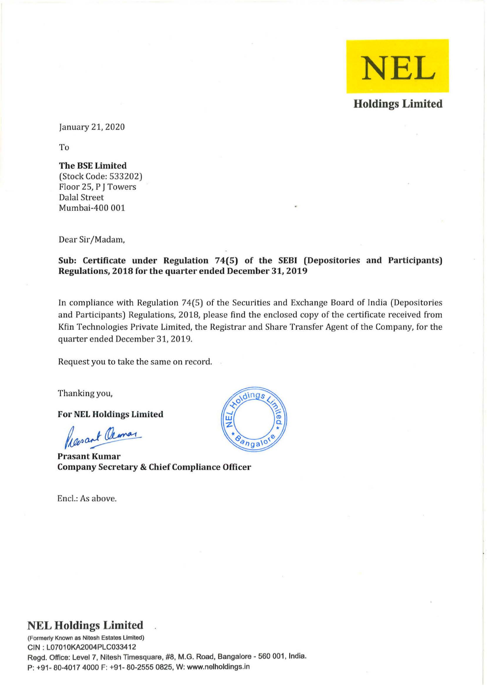

January 21, 2020

To

### The BSE Limited

(Stock Code: 533202) Floor 25, P J Towers Dalal Street Mumbai-400 001

Dear Sir/Madam,

### Sub: Certificate under Regulation 74(5) of the SEBI (Depositories and Participants) Regulations, 2018 for the quarter ended December 31, 2019

In compliance with Regulation 74(5) of the Securities and Exchange Board of India (Depositories and Participants) Regulations, 2018, please find the enclosed copy of the certificate received from Kfin Technologies Private Limited, the Registrar and Share Transfer Agent of the Company, for the quarter ended December 31, 2019.

Request you to take the same on record.

Thanking you,

For NEL Holdings Limited

Presant Cleanar

Prasant Kumar Company Secretary & Chief Compliance Officer

Encl.: As above.



## **NEL Holdings Limited**

**(Formerly Known as Nitesh Estates Limited)**  CIN : L07010KA2004PLC033412 Regd. Office: Level 7, Nitesh Timesquare, #8, M.G. Road, Bangalore - 560 001, India. P: +91- 60-4017 4000 F: +91- 60-2555 0625, W: www.nelholdings.in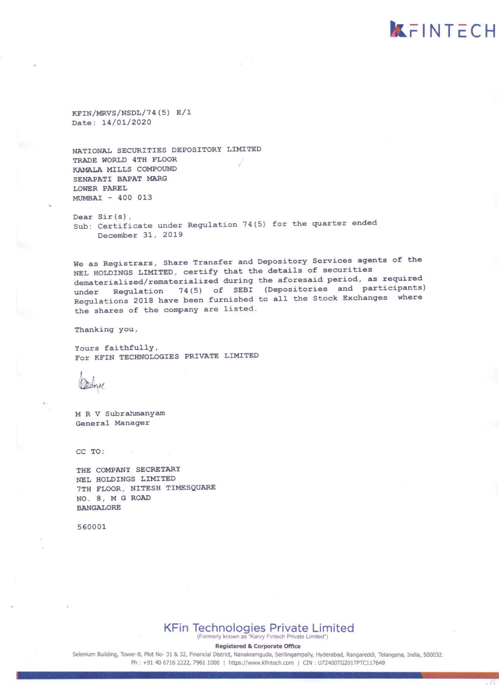KFIN/MRVS/NSDL/74 (5) E/l Date: 14/01/2020

NATIONAL SECURITIES DEPOSITORY LIMITED TRADE WORLD 4TH FLOOR KAMALA MILLS COMPOUND SENAPATI BAPAT MARG LOWER PAREL MUMBAI - 400 013

Dear Sir(s), **Sub: Certificate under Regulation 74(5) for the quarter ended**  December 31, 2019

**We as Registrars , Share Transfer and Depository Services agents of the**  NEL HOLDINGS LIMITED, certify that the details of securities **dematerialized/rematerialized during the aforesaid period, as required under Regulation 74(5) of SEBl (Depositories and participants) Regulations 2018 have been furnished to all the stock Exchanges where the shares of the company are listed.** 

**kFINTECH** 

 $\sqrt{a}$ 

**Thanking you ,** 

**Yours faithfully,**  For KFIN TECHNOLOGIES PRIVATE LIMITED

M R V Subrahmanyam **General Manager** 

CC TO:

THE COMPANY SECRETARY NEL HOLDINGS LIMITED 7TH FLOOR , NITESH TIMESQUARE NO.8 , M G ROAD BANGALORE

560001

# KFin Technologies Private Limited

**(Formerly known as ·Karvy Finlech Private limited")** 

**Registered & Corporate Office** 

Selenium Building, Tower-B, Plot No- 31 & 32, Financial District, Nanakramguda, Serilingampally, Hyderabad, Rangareddi, Telangana, India, 500032. Ph : +91 40 6716 2222, 7961 1000 | https://www.kfintech.com | CIN : U72400TG2017PTC117649